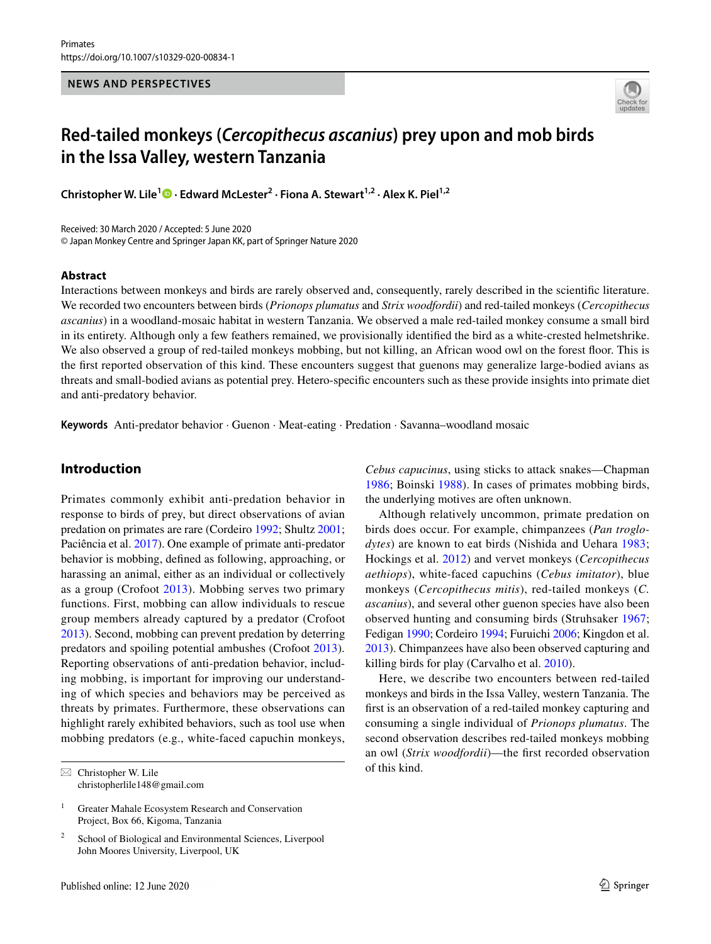#### **NEWS AND PERSPECTIVES**



# **Red‑tailed monkeys (***Cercopithecus ascanius***) prey upon and mob birds in the Issa Valley, western Tanzania**

**Christopher W. Lile1 · Edward McLester2 · Fiona A. Stewart1,2 · Alex K. Piel1,2**

Received: 30 March 2020 / Accepted: 5 June 2020 © Japan Monkey Centre and Springer Japan KK, part of Springer Nature 2020

#### **Abstract**

Interactions between monkeys and birds are rarely observed and, consequently, rarely described in the scientifc literature. We recorded two encounters between birds (*Prionops plumatus* and *Strix woodfordii*) and red-tailed monkeys (*Cercopithecus ascanius*) in a woodland-mosaic habitat in western Tanzania. We observed a male red-tailed monkey consume a small bird in its entirety. Although only a few feathers remained, we provisionally identifed the bird as a white-crested helmetshrike. We also observed a group of red-tailed monkeys mobbing, but not killing, an African wood owl on the forest foor. This is the frst reported observation of this kind. These encounters suggest that guenons may generalize large-bodied avians as threats and small-bodied avians as potential prey. Hetero-specifc encounters such as these provide insights into primate diet and anti-predatory behavior.

**Keywords** Anti-predator behavior · Guenon · Meat-eating · Predation · Savanna–woodland mosaic

# **Introduction**

Primates commonly exhibit anti-predation behavior in response to birds of prey, but direct observations of avian predation on primates are rare (Cordeiro [1992](#page-2-0); Shultz [2001](#page-3-0); Paciência et al. [2017](#page-3-1)). One example of primate anti-predator behavior is mobbing, defned as following, approaching, or harassing an animal, either as an individual or collectively as a group (Crofoot [2013\)](#page-2-1). Mobbing serves two primary functions. First, mobbing can allow individuals to rescue group members already captured by a predator (Crofoot [2013](#page-2-1)). Second, mobbing can prevent predation by deterring predators and spoiling potential ambushes (Crofoot [2013](#page-2-1)). Reporting observations of anti-predation behavior, including mobbing, is important for improving our understanding of which species and behaviors may be perceived as threats by primates. Furthermore, these observations can highlight rarely exhibited behaviors, such as tool use when mobbing predators (e.g., white-faced capuchin monkeys,

School of Biological and Environmental Sciences, Liverpool John Moores University, Liverpool, UK

*Cebus capucinus*, using sticks to attack snakes—Chapman [1986;](#page-2-2) Boinski [1988](#page-2-3)). In cases of primates mobbing birds, the underlying motives are often unknown.

Although relatively uncommon, primate predation on birds does occur. For example, chimpanzees (*Pan troglodytes*) are known to eat birds (Nishida and Uehara [1983](#page-2-4); Hockings et al. [2012](#page-2-5)) and vervet monkeys (*Cercopithecus aethiops*), white-faced capuchins (*Cebus imitator*), blue monkeys (*Cercopithecus mitis*), red-tailed monkeys (*C. ascanius*), and several other guenon species have also been observed hunting and consuming birds (Struhsaker [1967](#page-3-2); Fedigan [1990](#page-2-6); Cordeiro [1994](#page-2-7); Furuichi [2006](#page-2-8); Kingdon et al. [2013](#page-2-9)). Chimpanzees have also been observed capturing and killing birds for play (Carvalho et al. [2010](#page-2-10)).

Here, we describe two encounters between red-tailed monkeys and birds in the Issa Valley, western Tanzania. The frst is an observation of a red-tailed monkey capturing and consuming a single individual of *Prionops plumatus*. The second observation describes red-tailed monkeys mobbing an owl (*Strix woodfordii*)—the frst recorded observation

 $\boxtimes$  Christopher W. Lile of this kind. christopherlile148@gmail.com

<sup>&</sup>lt;sup>1</sup> Greater Mahale Ecosystem Research and Conservation Project, Box 66, Kigoma, Tanzania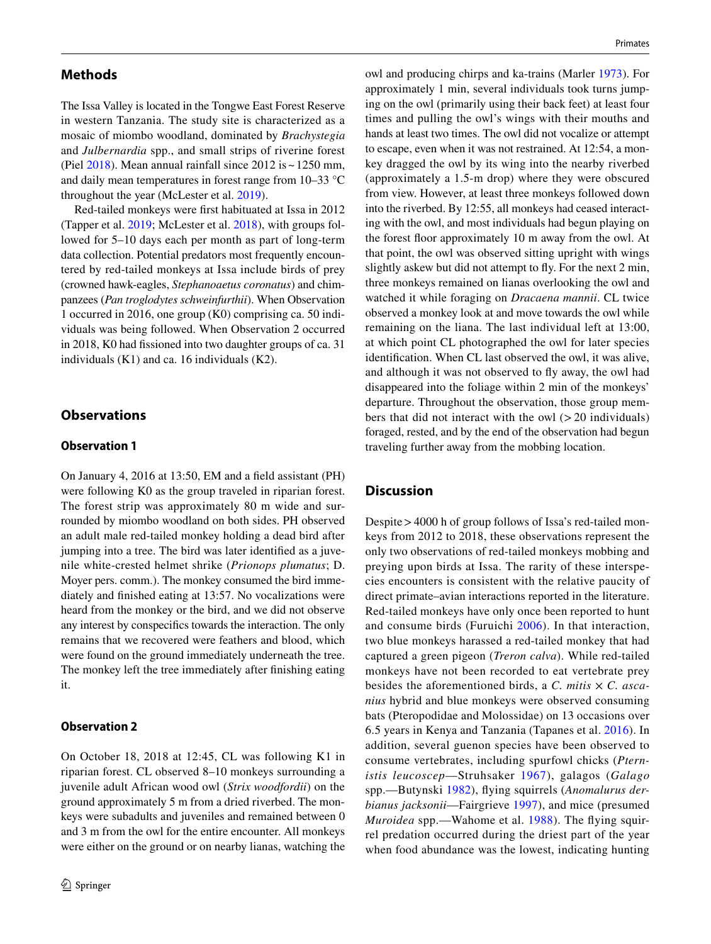### **Methods**

The Issa Valley is located in the Tongwe East Forest Reserve in western Tanzania. The study site is characterized as a mosaic of miombo woodland, dominated by *Brachystegia* and *Julbernardia* spp., and small strips of riverine forest (Piel  $2018$ ). Mean annual rainfall since  $2012$  is  $\sim$  1250 mm, and daily mean temperatures in forest range from 10–33 °C throughout the year (McLester et al. [2019\)](#page-2-11).

Red-tailed monkeys were frst habituated at Issa in 2012 (Tapper et al. [2019](#page-3-4); McLester et al. [2018\)](#page-2-12), with groups followed for 5–10 days each per month as part of long-term data collection. Potential predators most frequently encountered by red-tailed monkeys at Issa include birds of prey (crowned hawk-eagles, *Stephanoaetus coronatus*) and chimpanzees (*Pan troglodytes schweinfurthii*). When Observation 1 occurred in 2016, one group (K0) comprising ca. 50 individuals was being followed. When Observation 2 occurred in 2018, K0 had fssioned into two daughter groups of ca. 31 individuals (K1) and ca. 16 individuals (K2).

# **Observations**

#### **Observation 1**

On January 4, 2016 at 13:50, EM and a feld assistant (PH) were following K0 as the group traveled in riparian forest. The forest strip was approximately 80 m wide and surrounded by miombo woodland on both sides. PH observed an adult male red-tailed monkey holding a dead bird after jumping into a tree. The bird was later identifed as a juvenile white-crested helmet shrike (*Prionops plumatus*; D. Moyer pers. comm.). The monkey consumed the bird immediately and fnished eating at 13:57. No vocalizations were heard from the monkey or the bird, and we did not observe any interest by conspecifcs towards the interaction. The only remains that we recovered were feathers and blood, which were found on the ground immediately underneath the tree. The monkey left the tree immediately after fnishing eating it.

#### **Observation 2**

On October 18, 2018 at 12:45, CL was following K1 in riparian forest. CL observed 8–10 monkeys surrounding a juvenile adult African wood owl (*Strix woodfordii*) on the ground approximately 5 m from a dried riverbed. The monkeys were subadults and juveniles and remained between 0 and 3 m from the owl for the entire encounter. All monkeys were either on the ground or on nearby lianas, watching the owl and producing chirps and ka-trains (Marler [1973\)](#page-2-13). For approximately 1 min, several individuals took turns jumping on the owl (primarily using their back feet) at least four times and pulling the owl's wings with their mouths and hands at least two times. The owl did not vocalize or attempt to escape, even when it was not restrained. At 12:54, a monkey dragged the owl by its wing into the nearby riverbed (approximately a 1.5-m drop) where they were obscured from view. However, at least three monkeys followed down into the riverbed. By 12:55, all monkeys had ceased interacting with the owl, and most individuals had begun playing on the forest foor approximately 10 m away from the owl. At that point, the owl was observed sitting upright with wings slightly askew but did not attempt to fy. For the next 2 min, three monkeys remained on lianas overlooking the owl and watched it while foraging on *Dracaena mannii*. CL twice observed a monkey look at and move towards the owl while remaining on the liana. The last individual left at 13:00, at which point CL photographed the owl for later species identifcation. When CL last observed the owl, it was alive, and although it was not observed to fy away, the owl had disappeared into the foliage within 2 min of the monkeys' departure. Throughout the observation, those group members that did not interact with the owl  $(>20$  individuals) foraged, rested, and by the end of the observation had begun traveling further away from the mobbing location.

## **Discussion**

Despite>4000 h of group follows of Issa's red-tailed monkeys from 2012 to 2018, these observations represent the only two observations of red-tailed monkeys mobbing and preying upon birds at Issa. The rarity of these interspecies encounters is consistent with the relative paucity of direct primate–avian interactions reported in the literature. Red-tailed monkeys have only once been reported to hunt and consume birds (Furuichi [2006\)](#page-2-8). In that interaction, two blue monkeys harassed a red-tailed monkey that had captured a green pigeon (*Treron calva*). While red-tailed monkeys have not been recorded to eat vertebrate prey besides the aforementioned birds, a *C. mitis* × *C. ascanius* hybrid and blue monkeys were observed consuming bats (Pteropodidae and Molossidae) on 13 occasions over 6.5 years in Kenya and Tanzania (Tapanes et al. [2016](#page-3-5)). In addition, several guenon species have been observed to consume vertebrates, including spurfowl chicks (*Pternistis leucoscep*—Struhsaker [1967](#page-3-2)), galagos (*Galago* spp.—Butynski [1982\)](#page-2-14), fying squirrels (*Anomalurus derbianus jacksonii*—Fairgrieve [1997\)](#page-2-15), and mice (presumed *Muroidea* spp.—Wahome et al. [1988\)](#page-3-6). The flying squirrel predation occurred during the driest part of the year when food abundance was the lowest, indicating hunting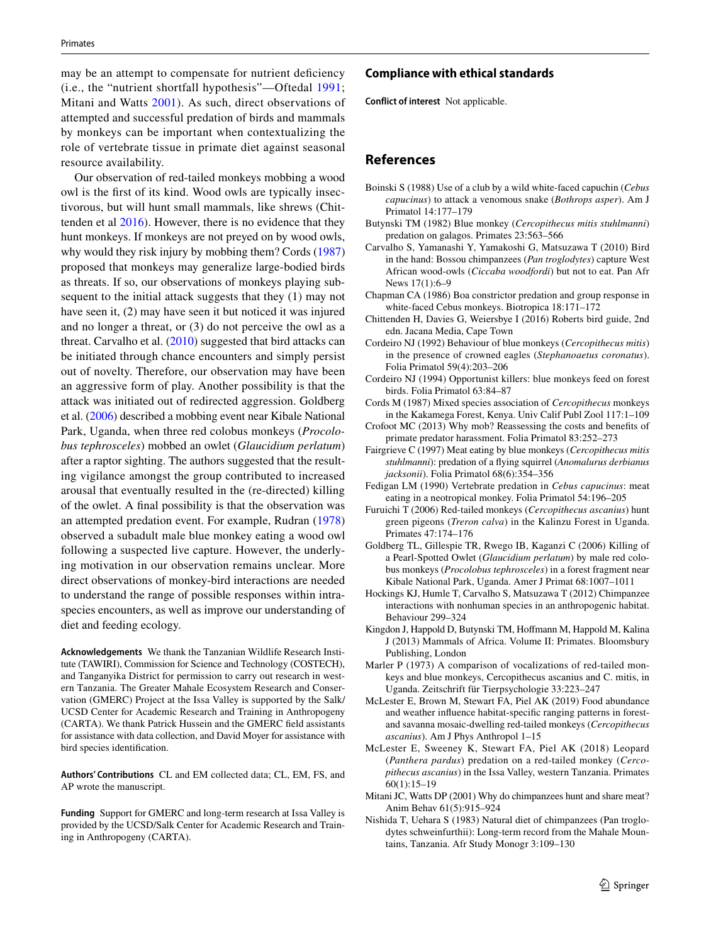may be an attempt to compensate for nutrient deficiency (i.e., the "nutrient shortfall hypothesis"—Oftedal [1991](#page-3-7); Mitani and Watts [2001](#page-2-16)). As such, direct observations of attempted and successful predation of birds and mammals by monkeys can be important when contextualizing the role of vertebrate tissue in primate diet against seasonal resource availability.

Our observation of red-tailed monkeys mobbing a wood owl is the frst of its kind. Wood owls are typically insectivorous, but will hunt small mammals, like shrews (Chittenden et al [2016\)](#page-2-17). However, there is no evidence that they hunt monkeys. If monkeys are not preyed on by wood owls, why would they risk injury by mobbing them? Cords ([1987\)](#page-2-18) proposed that monkeys may generalize large-bodied birds as threats. If so, our observations of monkeys playing subsequent to the initial attack suggests that they (1) may not have seen it, (2) may have seen it but noticed it was injured and no longer a threat, or (3) do not perceive the owl as a threat. Carvalho et al. [\(2010](#page-2-10)) suggested that bird attacks can be initiated through chance encounters and simply persist out of novelty. Therefore, our observation may have been an aggressive form of play. Another possibility is that the attack was initiated out of redirected aggression. Goldberg et al. [\(2006\)](#page-2-19) described a mobbing event near Kibale National Park, Uganda, when three red colobus monkeys (*Procolobus tephrosceles*) mobbed an owlet (*Glaucidium perlatum*) after a raptor sighting. The authors suggested that the resulting vigilance amongst the group contributed to increased arousal that eventually resulted in the (re-directed) killing of the owlet. A fnal possibility is that the observation was an attempted predation event. For example, Rudran ([1978\)](#page-3-8) observed a subadult male blue monkey eating a wood owl following a suspected live capture. However, the underlying motivation in our observation remains unclear. More direct observations of monkey-bird interactions are needed to understand the range of possible responses within intraspecies encounters, as well as improve our understanding of diet and feeding ecology.

**Acknowledgements** We thank the Tanzanian Wildlife Research Institute (TAWIRI), Commission for Science and Technology (COSTECH), and Tanganyika District for permission to carry out research in western Tanzania. The Greater Mahale Ecosystem Research and Conservation (GMERC) Project at the Issa Valley is supported by the Salk/ UCSD Center for Academic Research and Training in Anthropogeny (CARTA). We thank Patrick Hussein and the GMERC feld assistants for assistance with data collection, and David Moyer for assistance with bird species identifcation.

**Authors' Contributions** CL and EM collected data; CL, EM, FS, and AP wrote the manuscript.

**Funding** Support for GMERC and long-term research at Issa Valley is provided by the UCSD/Salk Center for Academic Research and Training in Anthropogeny (CARTA).

#### **Compliance with ethical standards**

**Conflict of interest** Not applicable.

## **References**

- <span id="page-2-3"></span>Boinski S (1988) Use of a club by a wild white-faced capuchin (*Cebus capucinus*) to attack a venomous snake (*Bothrops asper*). Am J Primatol 14:177–179
- <span id="page-2-14"></span>Butynski TM (1982) Blue monkey (*Cercopithecus mitis stuhlmanni*) predation on galagos. Primates 23:563–566
- <span id="page-2-10"></span>Carvalho S, Yamanashi Y, Yamakoshi G, Matsuzawa T (2010) Bird in the hand: Bossou chimpanzees (*Pan troglodytes*) capture West African wood-owls (*Ciccaba woodfordi*) but not to eat. Pan Afr News 17(1):6–9
- <span id="page-2-2"></span>Chapman CA (1986) Boa constrictor predation and group response in white-faced Cebus monkeys. Biotropica 18:171–172
- <span id="page-2-17"></span>Chittenden H, Davies G, Weiersbye I (2016) Roberts bird guide, 2nd edn. Jacana Media, Cape Town
- <span id="page-2-0"></span>Cordeiro NJ (1992) Behaviour of blue monkeys (*Cercopithecus mitis*) in the presence of crowned eagles (*Stephanoaetus coronatus*). Folia Primatol 59(4):203–206
- <span id="page-2-7"></span>Cordeiro NJ (1994) Opportunist killers: blue monkeys feed on forest birds. Folia Primatol 63:84–87
- <span id="page-2-18"></span>Cords M (1987) Mixed species association of *Cercopithecus* monkeys in the Kakamega Forest, Kenya. Univ Calif Publ Zool 117:1–109
- <span id="page-2-1"></span>Crofoot MC (2013) Why mob? Reassessing the costs and benefts of primate predator harassment. Folia Primatol 83:252–273
- <span id="page-2-15"></span>Fairgrieve C (1997) Meat eating by blue monkeys (*Cercopithecus mitis stuhlmanni*): predation of a fying squirrel (*Anomalurus derbianus jacksonii*). Folia Primatol 68(6):354–356
- <span id="page-2-6"></span>Fedigan LM (1990) Vertebrate predation in *Cebus capucinus*: meat eating in a neotropical monkey. Folia Primatol 54:196–205
- <span id="page-2-8"></span>Furuichi T (2006) Red-tailed monkeys (*Cercopithecus ascanius*) hunt green pigeons (*Treron calva*) in the Kalinzu Forest in Uganda. Primates 47:174–176
- <span id="page-2-19"></span>Goldberg TL, Gillespie TR, Rwego IB, Kaganzi C (2006) Killing of a Pearl-Spotted Owlet (*Glaucidium perlatum*) by male red colobus monkeys (*Procolobus tephrosceles*) in a forest fragment near Kibale National Park, Uganda. Amer J Primat 68:1007–1011
- <span id="page-2-5"></span>Hockings KJ, Humle T, Carvalho S, Matsuzawa T (2012) Chimpanzee interactions with nonhuman species in an anthropogenic habitat. Behaviour 299–324
- <span id="page-2-9"></span>Kingdon J, Happold D, Butynski TM, Hofmann M, Happold M, Kalina J (2013) Mammals of Africa. Volume II: Primates. Bloomsbury Publishing, London
- <span id="page-2-13"></span>Marler P (1973) A comparison of vocalizations of red-tailed monkeys and blue monkeys, Cercopithecus ascanius and C. mitis, in Uganda. Zeitschrift für Tierpsychologie 33:223–247
- <span id="page-2-11"></span>McLester E, Brown M, Stewart FA, Piel AK (2019) Food abundance and weather infuence habitat-specifc ranging patterns in forestand savanna mosaic-dwelling red-tailed monkeys (*Cercopithecus ascanius*). Am J Phys Anthropol 1–15
- <span id="page-2-12"></span>McLester E, Sweeney K, Stewart FA, Piel AK (2018) Leopard (*Panthera pardus*) predation on a red-tailed monkey (*Cercopithecus ascanius*) in the Issa Valley, western Tanzania. Primates 60(1):15–19
- <span id="page-2-16"></span>Mitani JC, Watts DP (2001) Why do chimpanzees hunt and share meat? Anim Behav 61(5):915–924
- <span id="page-2-4"></span>Nishida T, Uehara S (1983) Natural diet of chimpanzees (Pan troglodytes schweinfurthii): Long-term record from the Mahale Mountains, Tanzania. Afr Study Monogr 3:109–130